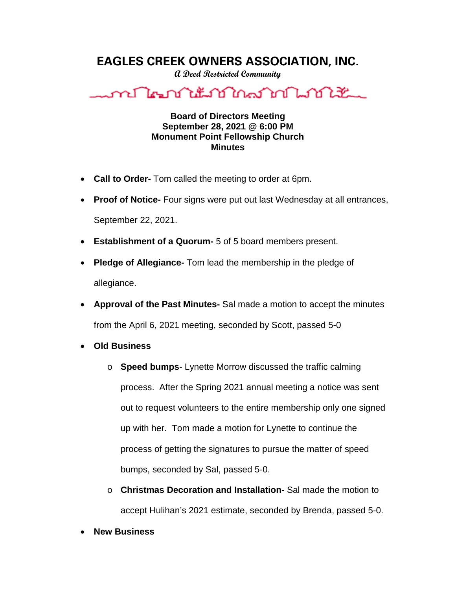## **EAGLES CREEK OWNERS ASSOCIATION, INC.**

**A Deed Restricted Community**



## **Board of Directors Meeting September 28, 2021 @ 6:00 PM Monument Point Fellowship Church Minutes**

- **Call to Order-** Tom called the meeting to order at 6pm.
- **Proof of Notice-** Four signs were put out last Wednesday at all entrances, September 22, 2021.
- **Establishment of a Quorum-** 5 of 5 board members present.
- **Pledge of Allegiance-** Tom lead the membership in the pledge of allegiance.
- **Approval of the Past Minutes-** Sal made a motion to accept the minutes from the April 6, 2021 meeting, seconded by Scott, passed 5-0
- **Old Business**
	- o **Speed bumps** Lynette Morrow discussed the traffic calming process. After the Spring 2021 annual meeting a notice was sent out to request volunteers to the entire membership only one signed up with her. Tom made a motion for Lynette to continue the process of getting the signatures to pursue the matter of speed bumps, seconded by Sal, passed 5-0.
	- o **Christmas Decoration and Installation-** Sal made the motion to accept Hulihan's 2021 estimate, seconded by Brenda, passed 5-0.
- **New Business**